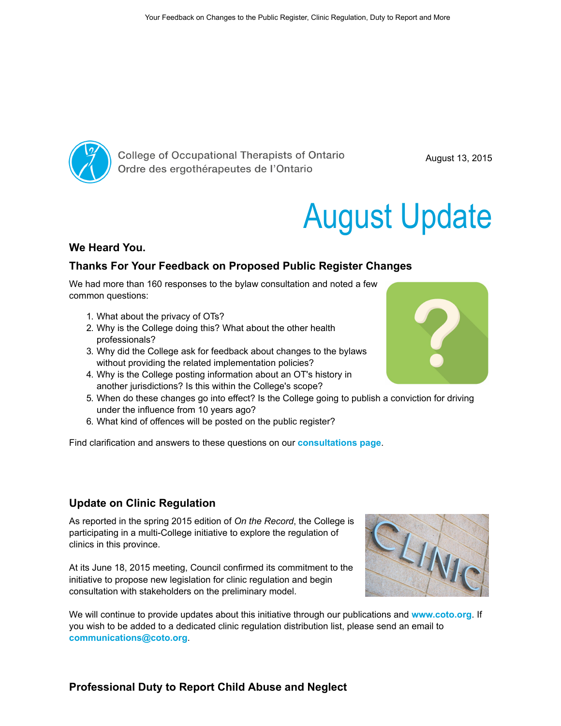

**College of Occupational Therapists of Ontario** Ordre des ergothérapeutes de l'Ontario

August 13, 2015

# August Update

#### We Heard You.

## Thanks For Your Feedback on Proposed Public Register Changes

We had more than 160 responses to the bylaw consultation and noted a few common questions:

- 1. What about the privacy of OTs?
- 2. Why is the College doing this? What about the other health professionals?
- 3. Why did the College ask for feedback about changes to the bylaws without providing the related implementation policies?
- 4. Why is the College posting information about an OT's history in another jurisdictions? Is this within the College's scope?
- 5. When do these changes go into effect? Is the College going to publish a conviction for driving under the influence from 10 years ago?
- 6. What kind of offences will be posted on the public register?

Find clarification and answers to these questions on our **[consultations page](http://www.coto.org/about/consultations.asp)**.

#### Update on Clinic Regulation

As reported in the spring 2015 edition of On the Record, the College is participating in a multi-College initiative to explore the regulation of clinics in this province.

At its June 18, 2015 meeting, Council confirmed its commitment to the initiative to propose new legislation for clinic regulation and begin consultation with stakeholders on the preliminary model.

We will continue to provide updates about this initiative through our publications and [www.coto.org](http://www.coto.org/). If you wish to be added to a dedicated clinic regulation distribution list, please send an email to [communications@coto.org](mailto:communications@coto.org).



LINIC